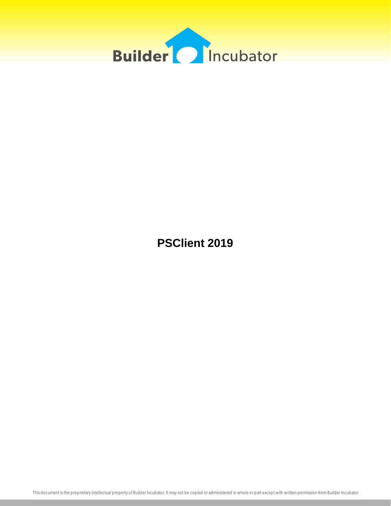

**PSClient 2019**

This document is the proprietary intellectual property of Builder Incubator. It may not be copied or administered in whole or part except with written permission from Builder Incubator.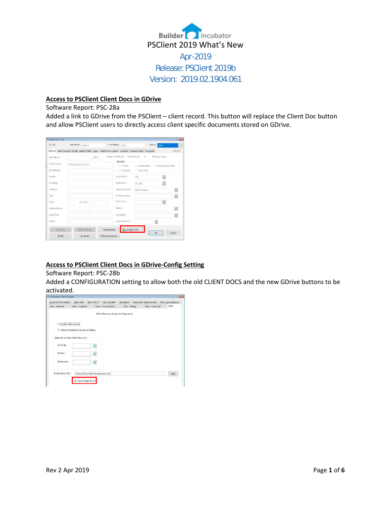

# **Access to PSClient Client Docs in GDrive**

### Software Report: PSC-28a

Added a link to GDrive from the PSClient – client record. This button will replace the Client Doc button and allow PSClient users to directly access client specific documents stored on GDrive.

| ID: A1       | Last Name:            | Demo:         |                         | First Name: John                 | Status: Sold                                                                                              | $\sim$         |
|--------------|-----------------------|---------------|-------------------------|----------------------------------|-----------------------------------------------------------------------------------------------------------|----------------|
|              |                       |               |                         |                                  | General Addt'l General Profile Addt'l Profile Entry Addt'l Entry Dates Contract Contract Addt'l Co-Buyers | Deleted        |
| Nick Name:   |                       |               | $M/5$ :                 | Added: 03/05/19 Color Sel Adi: 0 |                                                                                                           | Mailing: None  |
| Quick Notes: | These are quick notes |               |                         | No Mail                          |                                                                                                           |                |
| Job Address: |                       |               |                         | Pre Sale                         | Construction Do Not Send EMail<br>Final Close                                                             |                |
|              |                       |               |                         | Post Sale                        |                                                                                                           |                |
| Lender:      |                       |               |                         | Subdivision:                     | HR                                                                                                        | $\varOmega$    |
| Greeting:    |                       |               |                         | Quoted Ent:                      | $01 - 100$                                                                                                | $\bar{Q}$      |
| Address:     |                       |               |                         | Sales Associate:                 | Sales Person 1                                                                                            | $\mathcal{Q}$  |
| City:        |                       |               |                         | Co-Sales Assor :                 |                                                                                                           | $\overline{O}$ |
| State:       |                       | Zip Code:     |                         | Sales Team:                      |                                                                                                           | $\bar{Q}$      |
| Mobile/Home  |                       |               |                         | Realtor:                         |                                                                                                           | $\circ$        |
| Work/FAX     |                       |               |                         | Co-Realtor:                      |                                                                                                           | $\overline{Q}$ |
| FMail:       |                       |               |                         | Sales Assistant:                 | $\mathcal{Q}$                                                                                             |                |
| Exchange     |                       | Model Options | Departments             | Google Drive                     |                                                                                                           |                |
| E-Mail       |                       | Schedule      | <b>Client Documents</b> |                                  | OK                                                                                                        | Cancel         |

## **Access to PSClient Client Docs in GDrive-Config Setting**

## Software Report: PSC-28b

Added a CONFIGURATION setting to allow both the old CLIENT DOCS and the new GDrive buttons to be activated.

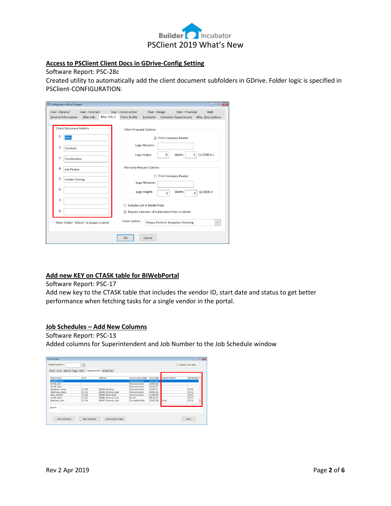

# **Access to PSClient Client Docs in GDrive-Config Setting**

Software Report: PSC-28c

Created utility to automatically add the client document subfolders in GDrive. Folder logic is specified in PSClient-CONFIGURATION.

| Configuration will be Changed                        |                                         |             |                                |                                    |                |                                                   | $\overline{\phantom{a}}$ $\overline{\phantom{a}}$<br>$\overline{\mathbf{x}}$ |
|------------------------------------------------------|-----------------------------------------|-------------|--------------------------------|------------------------------------|----------------|---------------------------------------------------|------------------------------------------------------------------------------|
| <b>User - General</b>                                | <b>User - Contract</b>                  |             | <b>User - Construction</b>     | User - Design                      |                | User - Financial                                  | Web                                                                          |
| <b>General Information</b>                           | Misc Info                               | Misc Info 2 | <b>Client Profile</b>          |                                    |                |                                                   | Scheduler Scheduler Departments Misc. Descriptions                           |
| <b>Client Document Folders</b><br>1:<br><b>Sales</b> |                                         |             | <b>Client Proposal Options</b> |                                    |                | ☑ Print Company Header                            |                                                                              |
| 2:<br>Contract                                       |                                         |             |                                | Logo filename:                     |                |                                                   |                                                                              |
| 3:<br>Construction                                   |                                         |             |                                | Logo Height:                       | $\mathbf 0$    | Width:<br>$\mathbf 0$                             | $(1/1000 \text{ in.})$                                                       |
| 4:<br><b>Job Photos</b>                              |                                         |             |                                | <b>Warranty Request Options</b>    |                |                                                   |                                                                              |
| 5:<br><b>Lender-Closing</b>                          |                                         |             |                                | Logo filename:                     |                | Print Company Header                              |                                                                              |
| 6:                                                   |                                         |             |                                | Logo Height:                       | $\overline{0}$ | Width:<br>$\Omega$                                | $(1/1000)$ in                                                                |
| 7:                                                   |                                         |             | п                              | <b>Includes Lot in Model Price</b> |                |                                                   |                                                                              |
| 8:                                                   |                                         |             |                                |                                    |                | ☑ Require Selection of Subdivision Prior to Model |                                                                              |
|                                                      | Note: Folder "Album" is always created. |             | <b>Client Option:</b>          |                                    |                | <b>Always Perform Exception Checking</b>          | $\checkmark$                                                                 |
|                                                      |                                         |             | OK                             | Cancel                             |                |                                                   |                                                                              |

## **Add new KEY on CTASK table for BIWebPortal**

Software Report: PSC-17

Add new key to the CTASK table that includes the vendor ID, start date and status to get better performance when fetching tasks for a single vendor in the portal.

# **Job Schedules – Add New Columns**

Software Report: PSC-13 Added columns for Superintendent and Job Number to the Job Schedule window

| Client Name                | $l$ ot #   | Address             | <b>Construction Stage</b> | ToDo Date | Superintendent | Job Number |
|----------------------------|------------|---------------------|---------------------------|-----------|----------------|------------|
| Langford, Kim              |            |                     | Preconstruction           | 01/21/19  |                |            |
| Smith, John                |            |                     | Preconstruction           | 03/09/18  |                |            |
| Smith, Paul                |            |                     | Preconstruction           | 03/18/17  |                |            |
| Alexander, James           | 01-105     | 10030 Oak Drive     | Preconstruction           | 03/07/17  |                | CP105      |
| Matthews, Jackie           | $01 - 113$ | 10046 Chestnut Loop | Preconstruction           | 09/02/15  |                | CP113      |
| $01 - 122$<br>Spec. Model1 |            | 10066 Maple Road    | Preconstruction           | 01/09/18  |                | CP122      |
| $01 - 127$<br>Smith, Steve |            | 10048 Chestnut Loop | Permit                    | 08/24/15  |                | CP127      |
| lastname, John             | 01-116     | 10042 Chestnut Loop | Foundation/Slab           | 03/07/18  | Scott          | CP116      |
|                            |            |                     |                           |           |                | ۰          |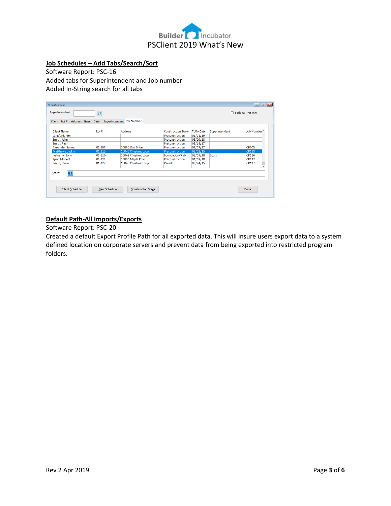

## **Job Schedules – Add Tabs/Search/Sort**

Software Report: PSC-16 Added tabs for Superintendent and Job number Added In-String search for all tabs

| <b>Client Name</b> | $Int$ # | <b>Address</b>      | <b>Construction Stage</b> | <b>ToDo Date</b> | Superintendent | Job Number ^   |
|--------------------|---------|---------------------|---------------------------|------------------|----------------|----------------|
| Langford, Kim      |         |                     | Preconstruction           | 01/21/19         |                |                |
| Smith, John        |         |                     | Preconstruction           | 03/09/18         |                |                |
| Smith, Paul        |         |                     | Preconstruction           | 03/18/17         |                |                |
| Alexander, James   | 01-105  | 10030 Oak Drive     | Preconstruction           | 03/07/17         |                | <b>CP105</b>   |
| Matthews, Jackie   | 01-113  | 10046 Chestnut Loop | Preconstruction           | 09/02/15         |                | <b>CP113</b>   |
| lastname, John     | 01-116  | 10042 Chestnut Loop | Foundation/Slab           | 03/07/18         | Scott          | CP116          |
| Spec, Model1       | 01-122  | 10066 Maple Road    | Preconstruction           | 01/09/18         |                | <b>CP122</b>   |
| Smith, Steve       | 01-127  | 10048 Chestnut Loop | Permit                    | 08/24/15         |                | CP127          |
|                    |         |                     |                           |                  |                | $\overline{ }$ |

# **Default Path-All Imports/Exports**

Software Report: PSC-20

Created a default Export Profile Path for all exported data. This will insure users export data to a system defined location on corporate servers and prevent data from being exported into restricted program folders.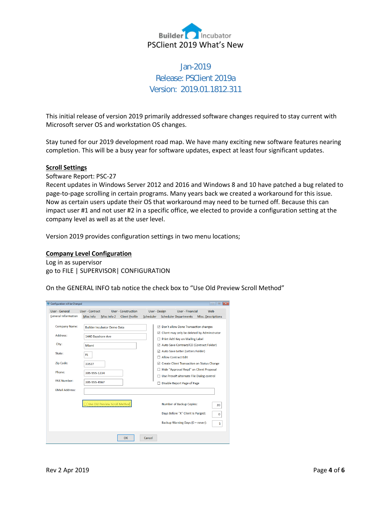

# Jan-2019 Release: PSClient 2019a Version: 2019.01.1812.311

This initial release of version 2019 primarily addressed software changes required to stay current with Microsoft server OS and workstation OS changes.

Stay tuned for our 2019 development road map. We have many exciting new software features nearing completion. This will be a busy year for software updates, expect at least four significant updates.

### **Scroll Settings**

Software Report: PSC-27

Recent updates in Windows Server 2012 and 2016 and Windows 8 and 10 have patched a bug related to page-to-page scrolling in certain programs. Many years back we created a workaround for this issue. Now as certain users update their OS that workaround may need to be turned off. Because this can impact user #1 and not user #2 in a specific office, we elected to provide a configuration setting at the company level as well as at the user level.

Version 2019 provides configuration settings in two menu locations;

## **Company Level Configuration**

Log in as supervisor go to FILE | SUPERVISOR| CONFIGURATION

On the GENERAL INFO tab notice the check box to "Use Old Preview Scroll Method"

| <b>Configuration will be Changed</b> |                   |                                    |                            |           |                       |                                           |                                              |
|--------------------------------------|-------------------|------------------------------------|----------------------------|-----------|-----------------------|-------------------------------------------|----------------------------------------------|
| User - General                       | User - Contract   |                                    | <b>User - Construction</b> |           | User - Design         | User - Financial                          | Web                                          |
| <b>General Information</b>           | <b>Misc Info</b>  | Misc Info 2                        | <b>Client Profile</b>      | Scheduler |                       | <b>Scheduler Departments</b>              | <b>Misc. Descriptions</b>                    |
| <b>Company Name:</b>                 |                   | <b>Builder Incubator Demo Data</b> |                            |           |                       | ☑ Don't allow Done Transaction changes    | ☑ Client may only be deleted by Adminstrator |
| Address:                             | 1440 Bayshore Ave |                                    |                            |           |                       | Print Adtl Key on Mailing Label           |                                              |
| City:                                | Miami             |                                    |                            |           |                       |                                           | ☑ Auto Save Contract/CO (Contract Folder)    |
| State:                               | FL.               |                                    |                            |           | □ Allow Contract Edit | ☑ Auto Save Letter (Letters Folder)       |                                              |
| Zip Code:                            | 33537             |                                    |                            |           |                       |                                           | ○ Create Client Transaction on Status Change |
| Phone:                               | 305-555-1234      |                                    |                            |           |                       |                                           | Hide "Approval Regd" on Client Proposal      |
|                                      |                   |                                    |                            |           |                       | Use Prosoft alternate File Dialog control |                                              |
| <b>FAX Number:</b>                   | 305-555-4567      |                                    |                            |           |                       | □ Disable Report Page of Page             |                                              |
| <b>FMail Address:</b>                |                   |                                    |                            |           |                       |                                           |                                              |
|                                      |                   | □ Use Old Preview Scroll Method    |                            |           |                       | Number of Backup Copies:                  | 20                                           |
|                                      |                   |                                    |                            |           |                       | Days Before "X" Client is Purged:         | $\mathbf 0$                                  |
|                                      |                   |                                    |                            |           |                       | Backup Warning Days (0 = never):          | 5                                            |
|                                      |                   |                                    | OK                         | Cancel    |                       |                                           |                                              |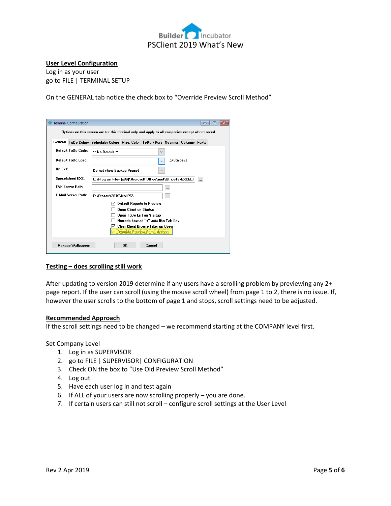

### **User Level Configuration**

Log in as your user go to FILE | TERMINAL SETUP

On the GENERAL tab notice the check box to "Override Preview Scroll Method"

| <b>Terminal Configuration</b> | o o                                                                                             |  |  |  |  |  |  |  |
|-------------------------------|-------------------------------------------------------------------------------------------------|--|--|--|--|--|--|--|
|                               | Options on this screen are for this terminal only and apply to all companies except where noted |  |  |  |  |  |  |  |
|                               | General ToDo Colors Scheduler Colors Misc. Color ToDo Filters Scanner Columns Fonts             |  |  |  |  |  |  |  |
| Default ToDo Code:            | ** No Default **<br>$\checkmark$                                                                |  |  |  |  |  |  |  |
| Default ToDo Load:            | (by Company)<br>$\checkmark$                                                                    |  |  |  |  |  |  |  |
| <b>On Exit:</b>               | Do not show Backup Prompt<br>$\checkmark$                                                       |  |  |  |  |  |  |  |
| <b>Spreadsheet EXE:</b>       | C:\Program Files (x86)\Microsoft Office\root\Office16\EXCEL. <br>.                              |  |  |  |  |  |  |  |
| <b>FAX Server Path:</b>       |                                                                                                 |  |  |  |  |  |  |  |
| <b>E-Mail Server Path:</b>    | C:\Prosoft\2019\MailPS\<br>$\cdots$                                                             |  |  |  |  |  |  |  |
|                               | <b>Default Reports to Preview</b><br>Open Client on Startup                                     |  |  |  |  |  |  |  |
|                               | Open ToDo List on Startup                                                                       |  |  |  |  |  |  |  |
|                               | Numeric keypad "+" acts like Tab Key                                                            |  |  |  |  |  |  |  |
|                               | Clear Client Browse Filter on Open<br><b>Override Preview Scroll Methodi</b>                    |  |  |  |  |  |  |  |
|                               |                                                                                                 |  |  |  |  |  |  |  |
| <b>Manage Wallpapers</b>      | <b>nk</b><br>Cancel                                                                             |  |  |  |  |  |  |  |

## **Testing – does scrolling still work**

After updating to version 2019 determine if any users have a scrolling problem by previewing any 2+ page report. If the user can scroll (using the mouse scroll wheel) from page 1 to 2, there is no issue. If, however the user scrolls to the bottom of page 1 and stops, scroll settings need to be adjusted.

## **Recommended Approach**

If the scroll settings need to be changed – we recommend starting at the COMPANY level first.

#### Set Company Level

- 1. Log in as SUPERVISOR
- 2. go to FILE | SUPERVISOR| CONFIGURATION
- 3. Check ON the box to "Use Old Preview Scroll Method"
- 4. Log out
- 5. Have each user log in and test again
- 6. If ALL of your users are now scrolling properly you are done.
- 7. If certain users can still not scroll configure scroll settings at the User Level